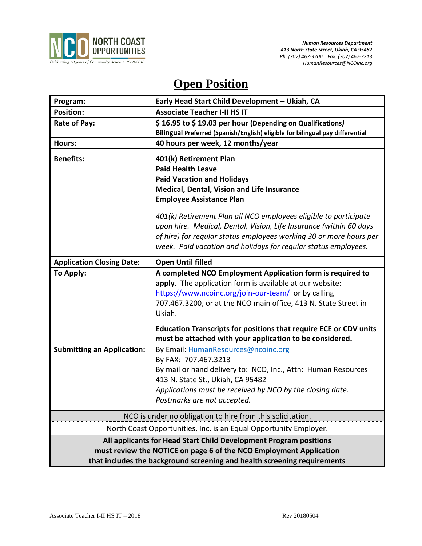

# **Open Position**

| Program:                                                                                                                                                                                                            | Early Head Start Child Development - Ukiah, CA                                                                                                                                                                                                                                                                                         |
|---------------------------------------------------------------------------------------------------------------------------------------------------------------------------------------------------------------------|----------------------------------------------------------------------------------------------------------------------------------------------------------------------------------------------------------------------------------------------------------------------------------------------------------------------------------------|
| <b>Position:</b>                                                                                                                                                                                                    | <b>Associate Teacher I-II HS IT</b>                                                                                                                                                                                                                                                                                                    |
| Rate of Pay:                                                                                                                                                                                                        | \$16.95 to \$19.03 per hour (Depending on Qualifications)                                                                                                                                                                                                                                                                              |
|                                                                                                                                                                                                                     | Bilingual Preferred (Spanish/English) eligible for bilingual pay differential                                                                                                                                                                                                                                                          |
| Hours:                                                                                                                                                                                                              | 40 hours per week, 12 months/year                                                                                                                                                                                                                                                                                                      |
| <b>Benefits:</b>                                                                                                                                                                                                    | 401(k) Retirement Plan<br><b>Paid Health Leave</b><br><b>Paid Vacation and Holidays</b><br>Medical, Dental, Vision and Life Insurance<br><b>Employee Assistance Plan</b>                                                                                                                                                               |
|                                                                                                                                                                                                                     | 401(k) Retirement Plan all NCO employees eligible to participate<br>upon hire. Medical, Dental, Vision, Life Insurance (within 60 days<br>of hire) for regular status employees working 30 or more hours per<br>week. Paid vacation and holidays for regular status employees.                                                         |
| <b>Application Closing Date:</b>                                                                                                                                                                                    | <b>Open Until filled</b>                                                                                                                                                                                                                                                                                                               |
| To Apply:                                                                                                                                                                                                           | A completed NCO Employment Application form is required to<br>apply. The application form is available at our website:<br>https://www.ncoinc.org/join-our-team/ or by calling<br>707.467.3200, or at the NCO main office, 413 N. State Street in<br>Ukiah.<br><b>Education Transcripts for positions that require ECE or CDV units</b> |
|                                                                                                                                                                                                                     | must be attached with your application to be considered.                                                                                                                                                                                                                                                                               |
| <b>Submitting an Application:</b>                                                                                                                                                                                   | By Email: HumanResources@ncoinc.org<br>By FAX: 707.467.3213<br>By mail or hand delivery to: NCO, Inc., Attn: Human Resources<br>413 N. State St., Ukiah, CA 95482<br>Applications must be received by NCO by the closing date.<br>Postmarks are not accepted.                                                                          |
| NCO is under no obligation to hire from this solicitation.                                                                                                                                                          |                                                                                                                                                                                                                                                                                                                                        |
| North Coast Opportunities, Inc. is an Equal Opportunity Employer.                                                                                                                                                   |                                                                                                                                                                                                                                                                                                                                        |
| All applicants for Head Start Child Development Program positions<br>must review the NOTICE on page 6 of the NCO Employment Application<br>that includes the background screening and health screening requirements |                                                                                                                                                                                                                                                                                                                                        |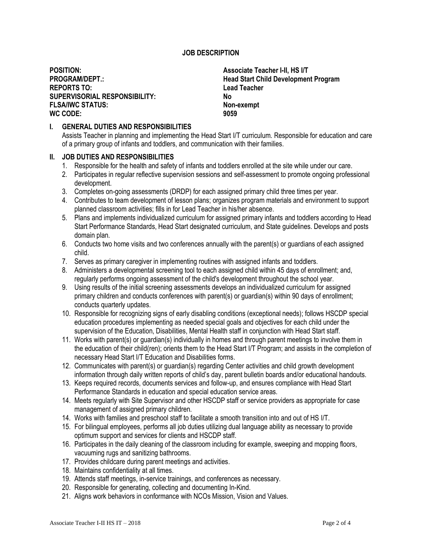## **JOB DESCRIPTION**

**POSITION: Associate Teacher I-II, HS I/T REPORTS TO: Lead Teacher SUPERVISORIAL RESPONSIBILITY: No FLSA/IWC STATUS: WC CODE: 9059**

**PROGRAM/DEPT.: Head Start Child Development Program**

### **I. GENERAL DUTIES AND RESPONSIBILITIES**

Assists Teacher in planning and implementing the Head Start I/T curriculum. Responsible for education and care of a primary group of infants and toddlers, and communication with their families.

#### **II. JOB DUTIES AND RESPONSIBILITIES**

- 1. Responsible for the health and safety of infants and toddlers enrolled at the site while under our care.
- 2. Participates in regular reflective supervision sessions and self-assessment to promote ongoing professional development.
- 3. Completes on-going assessments (DRDP) for each assigned primary child three times per year.
- 4. Contributes to team development of lesson plans; organizes program materials and environment to support planned classroom activities; fills in for Lead Teacher in his/her absence.
- 5. Plans and implements individualized curriculum for assigned primary infants and toddlers according to Head Start Performance Standards, Head Start designated curriculum, and State guidelines. Develops and posts domain plan.
- 6. Conducts two home visits and two conferences annually with the parent(s) or guardians of each assigned child.
- 7. Serves as primary caregiver in implementing routines with assigned infants and toddlers.
- 8. Administers a developmental screening tool to each assigned child within 45 days of enrollment; and, regularly performs ongoing assessment of the child's development throughout the school year.
- 9. Using results of the initial screening assessments develops an individualized curriculum for assigned primary children and conducts conferences with parent(s) or guardian(s) within 90 days of enrollment; conducts quarterly updates.
- 10. Responsible for recognizing signs of early disabling conditions (exceptional needs); follows HSCDP special education procedures implementing as needed special goals and objectives for each child under the supervision of the Education, Disabilities, Mental Health staff in conjunction with Head Start staff.
- 11. Works with parent(s) or guardian(s) individually in homes and through parent meetings to involve them in the education of their child(ren); orients them to the Head Start I/T Program; and assists in the completion of necessary Head Start I/T Education and Disabilities forms.
- 12. Communicates with parent(s) or guardian(s) regarding Center activities and child growth development information through daily written reports of child's day, parent bulletin boards and/or educational handouts.
- 13. Keeps required records, documents services and follow-up, and ensures compliance with Head Start Performance Standards in education and special education service areas.
- 14. Meets regularly with Site Supervisor and other HSCDP staff or service providers as appropriate for case management of assigned primary children.
- 14. Works with families and preschool staff to facilitate a smooth transition into and out of HS I/T.
- 15. For bilingual employees, performs all job duties utilizing dual language ability as necessary to provide optimum support and services for clients and HSCDP staff.
- 16. Participates in the daily cleaning of the classroom including for example, sweeping and mopping floors, vacuuming rugs and sanitizing bathrooms.
- 17. Provides childcare during parent meetings and activities.
- 18. Maintains confidentiality at all times.
- 19. Attends staff meetings, in-service trainings, and conferences as necessary.
- 20. Responsible for generating, collecting and documenting In-Kind.
- 21. Aligns work behaviors in conformance with NCOs Mission, Vision and Values.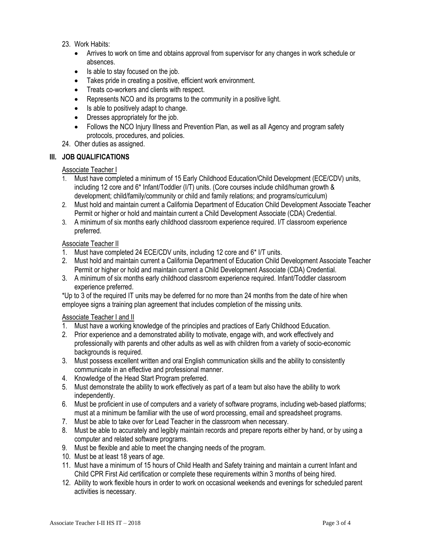# 23. Work Habits:

- Arrives to work on time and obtains approval from supervisor for any changes in work schedule or absences.
- Is able to stay focused on the job.
- Takes pride in creating a positive, efficient work environment.
- Treats co-workers and clients with respect.
- Represents NCO and its programs to the community in a positive light.
- Is able to positively adapt to change.
- Dresses appropriately for the job.
- Follows the NCO Injury Illness and Prevention Plan, as well as all Agency and program safety protocols, procedures, and policies.
- 24. Other duties as assigned.

# **III. JOB QUALIFICATIONS**

## Associate Teacher I

- 1. Must have completed a minimum of 15 Early Childhood Education/Child Development (ECE/CDV) units, including 12 core and 6\* Infant/Toddler (I/T) units. (Core courses include child/human growth & development; child/family/community or child and family relations; and programs/curriculum)
- 2. Must hold and maintain current a California Department of Education Child Development Associate Teacher Permit or higher or hold and maintain current a Child Development Associate (CDA) Credential.
- 3. A minimum of six months early childhood classroom experience required. I/T classroom experience preferred.

#### Associate Teacher II

- 1. Must have completed 24 ECE/CDV units, including 12 core and 6\* I/T units.
- 2. Must hold and maintain current a California Department of Education Child Development Associate Teacher Permit or higher or hold and maintain current a Child Development Associate (CDA) Credential.
- 3. A minimum of six months early childhood classroom experience required. Infant/Toddler classroom experience preferred.

\*Up to 3 of the required IT units may be deferred for no more than 24 months from the date of hire when employee signs a training plan agreement that includes completion of the missing units.

## Associate Teacher I and II

- 1. Must have a working knowledge of the principles and practices of Early Childhood Education.
- 2. Prior experience and a demonstrated ability to motivate, engage with, and work effectively and professionally with parents and other adults as well as with children from a variety of socio-economic backgrounds is required.
- 3. Must possess excellent written and oral English communication skills and the ability to consistently communicate in an effective and professional manner.
- 4. Knowledge of the Head Start Program preferred.
- 5. Must demonstrate the ability to work effectively as part of a team but also have the ability to work independently.
- 6. Must be proficient in use of computers and a variety of software programs, including web-based platforms; must at a minimum be familiar with the use of word processing, email and spreadsheet programs.
- 7. Must be able to take over for Lead Teacher in the classroom when necessary.
- 8. Must be able to accurately and legibly maintain records and prepare reports either by hand, or by using a computer and related software programs.
- 9. Must be flexible and able to meet the changing needs of the program.
- 10. Must be at least 18 years of age.
- 11. Must have a minimum of 15 hours of Child Health and Safety training and maintain a current Infant and Child CPR First Aid certification or complete these requirements within 3 months of being hired.
- 12. Ability to work flexible hours in order to work on occasional weekends and evenings for scheduled parent activities is necessary.